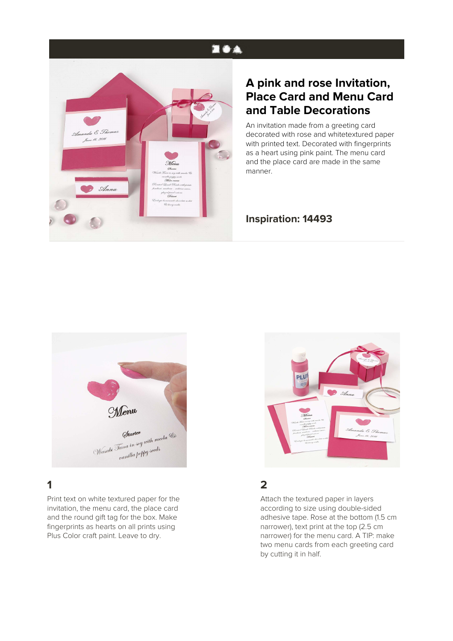## **EOA**



## **A pink and rose Invitation, Place Card and Menu Card and Table Decorations**

An invitation made from a greeting card decorated with rose and whitetextured paper with printed text. Decorated with fingerprints as a heart using pink paint. The menu card and the place card are made in the same manner.

#### **Inspiration: 14493**



# **1**

Print text on white textured paper for the invitation, the menu card, the place card and the round gift tag for the box. Make fingerprints as hearts on all prints using Plus Color craft paint. Leave to dry.



### **2**

Attach the textured paper in layers according to size using double-sided adhesive tape. Rose at the bottom (1.5 cm narrower), text print at the top (2.5 cm narrower) for the menu card. A TIP: make two menu cards from each greeting card by cutting it in half.